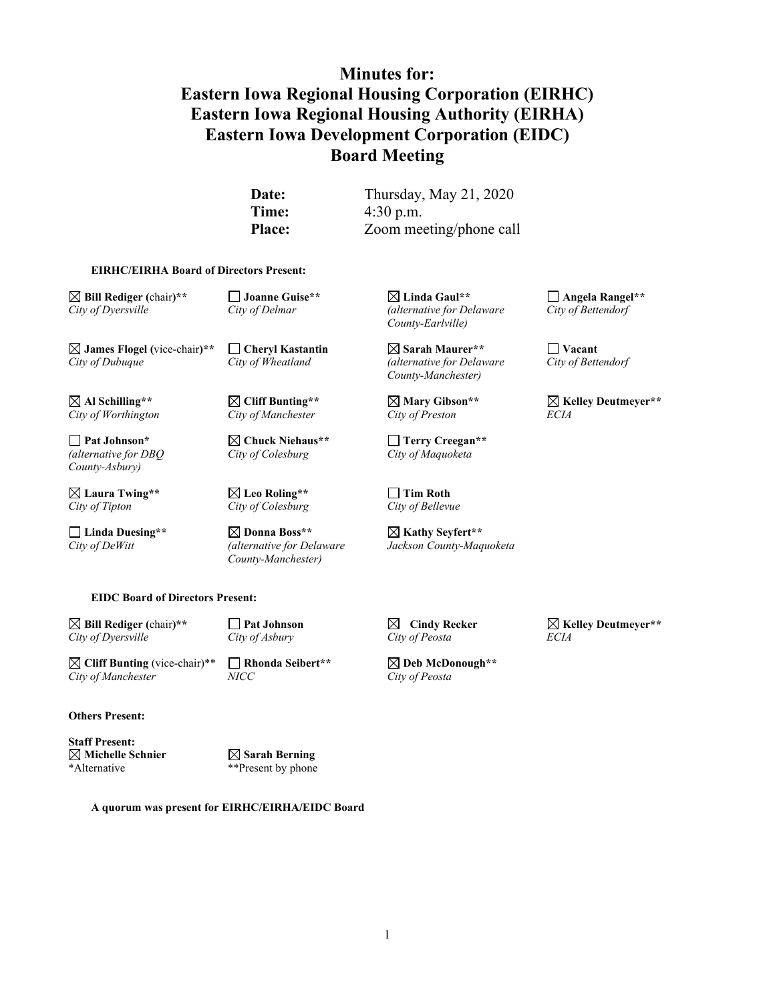# **Minutes for: Eastern Iowa Regional Housing Corporation (EIRHC) Eastern Iowa Regional Housing Authority (EIRHA) Eastern Iowa Development Corporation (EIDC) Board Meeting**

**Date:** Thursday, May 21, 2020 **Time:** 4:30 p.m. **Place:** Zoom meeting/phone call

#### **EIRHC/EIRHA Board of Directors Present:**

*City of Dubuque City of Wheatland (alternative for Delaware City of Wheatland* 

 $City of Worthington$ 

*(alternative for DBQ City of Colesburg City of Maquoketa County-Asbury)*

**Laura Twing\*\* Leo Roling\*\* Tim Roth** *City of Tipton City of Colesburg City of Bellevue*

**Linda Duesing\*\* Donna Boss\*\* Kathy Seyfert\*\*** *County-Manchester)*

**Bill Rediger (**chair**)\*\* Joanne Guise\*\* Linda Gaul\*\* Angela Rangel\*\*** *City of Dyersville City of Delmar (alternative for Delaware City of Bettendorf County-Earlville)*

**James Flogel (vice-chair)\*\***  $\Box$  **Cheryl Kastantin**  $\Box$  **Sarah Maurer\*\***  $\Box$  **Vacant**<br>*City of Dubuque*  $\Box$  *City of Wheatland (alternative for Delaware City of Bettendorf*) *County-Manchester)*

**Pat Johnson\* Chuck Niehaus\*\* Terry Creegan\*\***

*City of DeWitt (alternative for Delaware Jackson County-Maquoketa*

 $\boxtimes$  Al Schilling\*\* **Mary Gibson\*\***  $\boxtimes$  Kelley Deutmeyer\*\* <br>City of Worthington City of Manchester City of Preston **ECIA** 

**EIDC Board of Directors Present:**

**Bill Rediger (**chair**)\*\* Pat Johnson Cindy Recker Kelley Deutmeyer\*\*** *City of Dyersville City of Asbury City of Peosta ECIA*

 $\boxtimes$  **Cliff Bunting** (vice-chair)<sup>\*\*</sup> **Rhonda Seibert<sup>\*\*</sup> △ Deb McDonough<sup>\*\*</sup>**<br>*City of Manchester MICC Deposita*  $City of Manchester$ 

**Others Present:**

**Staff Present: Michelle Schnier Sarah Berning** \*Alternative \*\*Present by phone

**A quorum was present for EIRHC/EIRHA/EIDC Board**

1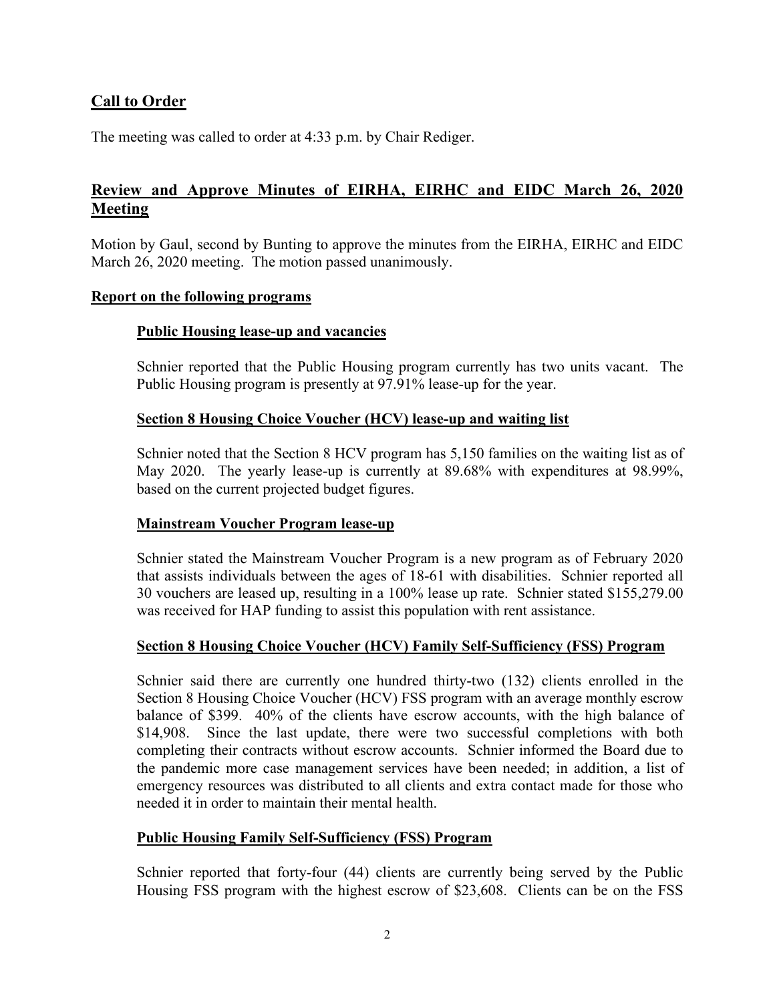# **Call to Order**

The meeting was called to order at 4:33 p.m. by Chair Rediger.

# **Review and Approve Minutes of EIRHA, EIRHC and EIDC March 26, 2020 Meeting**

Motion by Gaul, second by Bunting to approve the minutes from the EIRHA, EIRHC and EIDC March 26, 2020 meeting. The motion passed unanimously.

#### **Report on the following programs**

#### **Public Housing lease-up and vacancies**

Schnier reported that the Public Housing program currently has two units vacant. The Public Housing program is presently at 97.91% lease-up for the year.

#### **Section 8 Housing Choice Voucher (HCV) lease-up and waiting list**

Schnier noted that the Section 8 HCV program has 5,150 families on the waiting list as of May 2020. The yearly lease-up is currently at 89.68% with expenditures at 98.99%, based on the current projected budget figures.

#### **Mainstream Voucher Program lease-up**

Schnier stated the Mainstream Voucher Program is a new program as of February 2020 that assists individuals between the ages of 18-61 with disabilities. Schnier reported all 30 vouchers are leased up, resulting in a 100% lease up rate. Schnier stated \$155,279.00 was received for HAP funding to assist this population with rent assistance.

#### **Section 8 Housing Choice Voucher (HCV) Family Self-Sufficiency (FSS) Program**

Schnier said there are currently one hundred thirty-two (132) clients enrolled in the Section 8 Housing Choice Voucher (HCV) FSS program with an average monthly escrow balance of \$399. 40% of the clients have escrow accounts, with the high balance of \$14,908.Since the last update, there were two successful completions with both completing their contracts without escrow accounts. Schnier informed the Board due to the pandemic more case management services have been needed; in addition, a list of emergency resources was distributed to all clients and extra contact made for those who needed it in order to maintain their mental health.

#### **Public Housing Family Self-Sufficiency (FSS) Program**

Schnier reported that forty-four (44) clients are currently being served by the Public Housing FSS program with the highest escrow of \$23,608. Clients can be on the FSS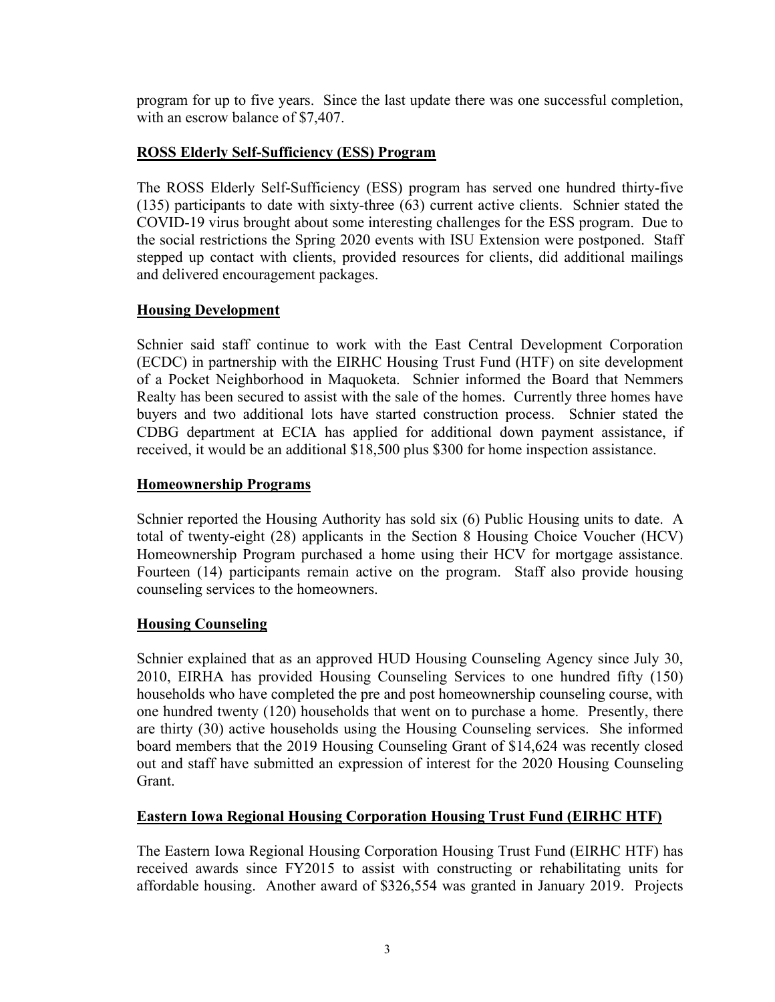program for up to five years. Since the last update there was one successful completion, with an escrow balance of \$7,407.

### **ROSS Elderly Self-Sufficiency (ESS) Program**

The ROSS Elderly Self-Sufficiency (ESS) program has served one hundred thirty-five (135) participants to date with sixty-three (63) current active clients. Schnier stated the COVID-19 virus brought about some interesting challenges for the ESS program. Due to the social restrictions the Spring 2020 events with ISU Extension were postponed. Staff stepped up contact with clients, provided resources for clients, did additional mailings and delivered encouragement packages.

#### **Housing Development**

Schnier said staff continue to work with the East Central Development Corporation (ECDC) in partnership with the EIRHC Housing Trust Fund (HTF) on site development of a Pocket Neighborhood in Maquoketa. Schnier informed the Board that Nemmers Realty has been secured to assist with the sale of the homes. Currently three homes have buyers and two additional lots have started construction process. Schnier stated the CDBG department at ECIA has applied for additional down payment assistance, if received, it would be an additional \$18,500 plus \$300 for home inspection assistance.

#### **Homeownership Programs**

Schnier reported the Housing Authority has sold six (6) Public Housing units to date. A total of twenty-eight (28) applicants in the Section 8 Housing Choice Voucher (HCV) Homeownership Program purchased a home using their HCV for mortgage assistance. Fourteen (14) participants remain active on the program. Staff also provide housing counseling services to the homeowners.

### **Housing Counseling**

Schnier explained that as an approved HUD Housing Counseling Agency since July 30, 2010, EIRHA has provided Housing Counseling Services to one hundred fifty (150) households who have completed the pre and post homeownership counseling course, with one hundred twenty (120) households that went on to purchase a home. Presently, there are thirty (30) active households using the Housing Counseling services. She informed board members that the 2019 Housing Counseling Grant of \$14,624 was recently closed out and staff have submitted an expression of interest for the 2020 Housing Counseling Grant.

### **Eastern Iowa Regional Housing Corporation Housing Trust Fund (EIRHC HTF)**

The Eastern Iowa Regional Housing Corporation Housing Trust Fund (EIRHC HTF) has received awards since FY2015 to assist with constructing or rehabilitating units for affordable housing. Another award of \$326,554 was granted in January 2019. Projects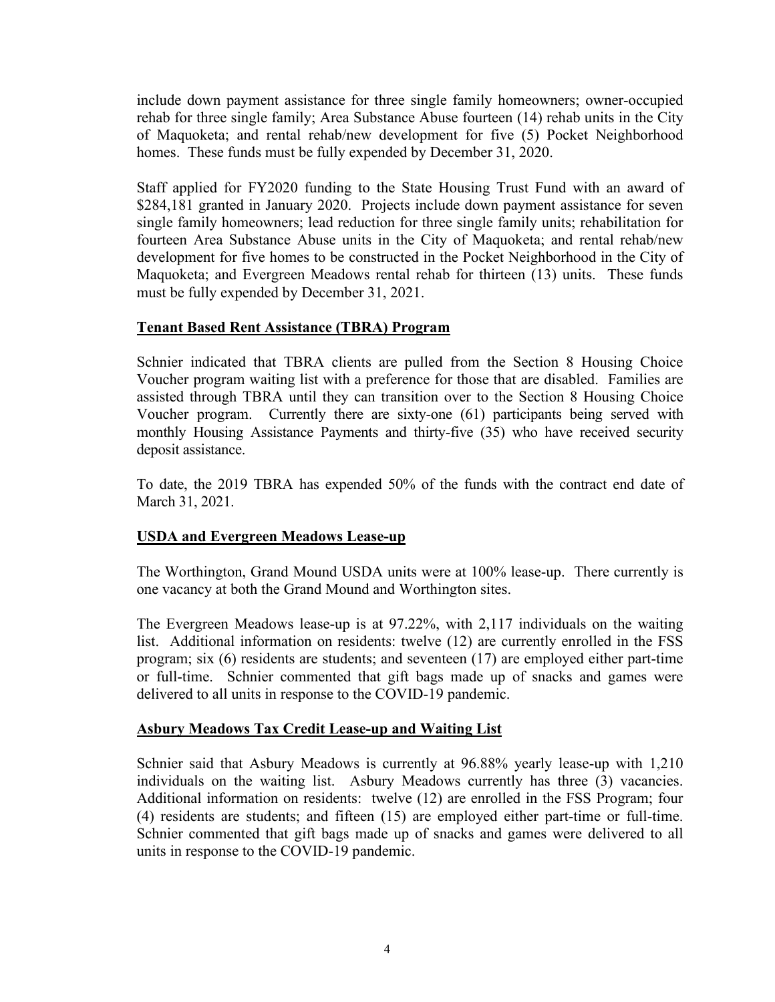include down payment assistance for three single family homeowners; owner-occupied rehab for three single family; Area Substance Abuse fourteen (14) rehab units in the City of Maquoketa; and rental rehab/new development for five (5) Pocket Neighborhood homes. These funds must be fully expended by December 31, 2020.

Staff applied for FY2020 funding to the State Housing Trust Fund with an award of \$284,181 granted in January 2020. Projects include down payment assistance for seven single family homeowners; lead reduction for three single family units; rehabilitation for fourteen Area Substance Abuse units in the City of Maquoketa; and rental rehab/new development for five homes to be constructed in the Pocket Neighborhood in the City of Maquoketa; and Evergreen Meadows rental rehab for thirteen (13) units. These funds must be fully expended by December 31, 2021.

### **Tenant Based Rent Assistance (TBRA) Program**

Schnier indicated that TBRA clients are pulled from the Section 8 Housing Choice Voucher program waiting list with a preference for those that are disabled. Families are assisted through TBRA until they can transition over to the Section 8 Housing Choice Voucher program. Currently there are sixty-one (61) participants being served with monthly Housing Assistance Payments and thirty-five (35) who have received security deposit assistance.

To date, the 2019 TBRA has expended 50% of the funds with the contract end date of March 31, 2021.

### **USDA and Evergreen Meadows Lease-up**

The Worthington, Grand Mound USDA units were at 100% lease-up. There currently is one vacancy at both the Grand Mound and Worthington sites.

The Evergreen Meadows lease-up is at 97.22%, with 2,117 individuals on the waiting list. Additional information on residents: twelve (12) are currently enrolled in the FSS program; six (6) residents are students; and seventeen (17) are employed either part-time or full-time. Schnier commented that gift bags made up of snacks and games were delivered to all units in response to the COVID-19 pandemic.

### **Asbury Meadows Tax Credit Lease-up and Waiting List**

Schnier said that Asbury Meadows is currently at 96.88% yearly lease-up with 1,210 individuals on the waiting list. Asbury Meadows currently has three (3) vacancies. Additional information on residents: twelve (12) are enrolled in the FSS Program; four (4) residents are students; and fifteen (15) are employed either part-time or full-time. Schnier commented that gift bags made up of snacks and games were delivered to all units in response to the COVID-19 pandemic.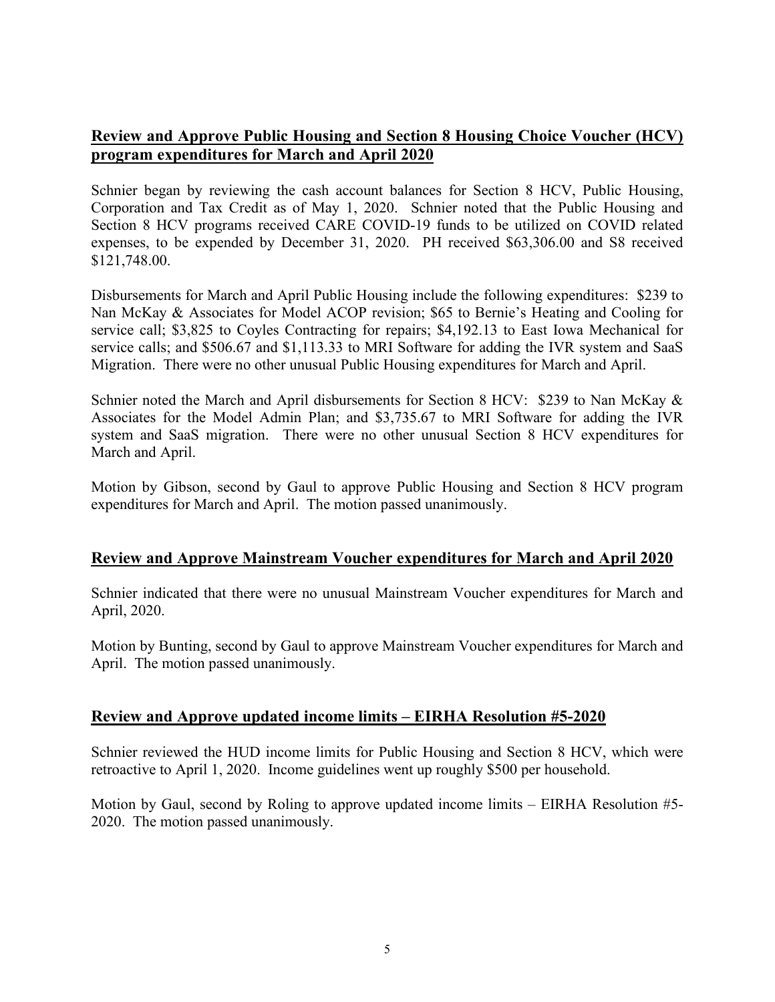# **Review and Approve Public Housing and Section 8 Housing Choice Voucher (HCV) program expenditures for March and April 2020**

Schnier began by reviewing the cash account balances for Section 8 HCV, Public Housing, Corporation and Tax Credit as of May 1, 2020. Schnier noted that the Public Housing and Section 8 HCV programs received CARE COVID-19 funds to be utilized on COVID related expenses, to be expended by December 31, 2020. PH received \$63,306.00 and S8 received \$121,748.00.

Disbursements for March and April Public Housing include the following expenditures: \$239 to Nan McKay & Associates for Model ACOP revision; \$65 to Bernie's Heating and Cooling for service call; \$3,825 to Coyles Contracting for repairs; \$4,192.13 to East Iowa Mechanical for service calls; and \$506.67 and \$1,113.33 to MRI Software for adding the IVR system and SaaS Migration. There were no other unusual Public Housing expenditures for March and April.

Schnier noted the March and April disbursements for Section 8 HCV: \$239 to Nan McKay & Associates for the Model Admin Plan; and \$3,735.67 to MRI Software for adding the IVR system and SaaS migration. There were no other unusual Section 8 HCV expenditures for March and April.

Motion by Gibson, second by Gaul to approve Public Housing and Section 8 HCV program expenditures for March and April. The motion passed unanimously.

### **Review and Approve Mainstream Voucher expenditures for March and April 2020**

Schnier indicated that there were no unusual Mainstream Voucher expenditures for March and April, 2020.

Motion by Bunting, second by Gaul to approve Mainstream Voucher expenditures for March and April. The motion passed unanimously.

### **Review and Approve updated income limits – EIRHA Resolution #5-2020**

Schnier reviewed the HUD income limits for Public Housing and Section 8 HCV, which were retroactive to April 1, 2020. Income guidelines went up roughly \$500 per household.

Motion by Gaul, second by Roling to approve updated income limits – EIRHA Resolution #5- 2020. The motion passed unanimously.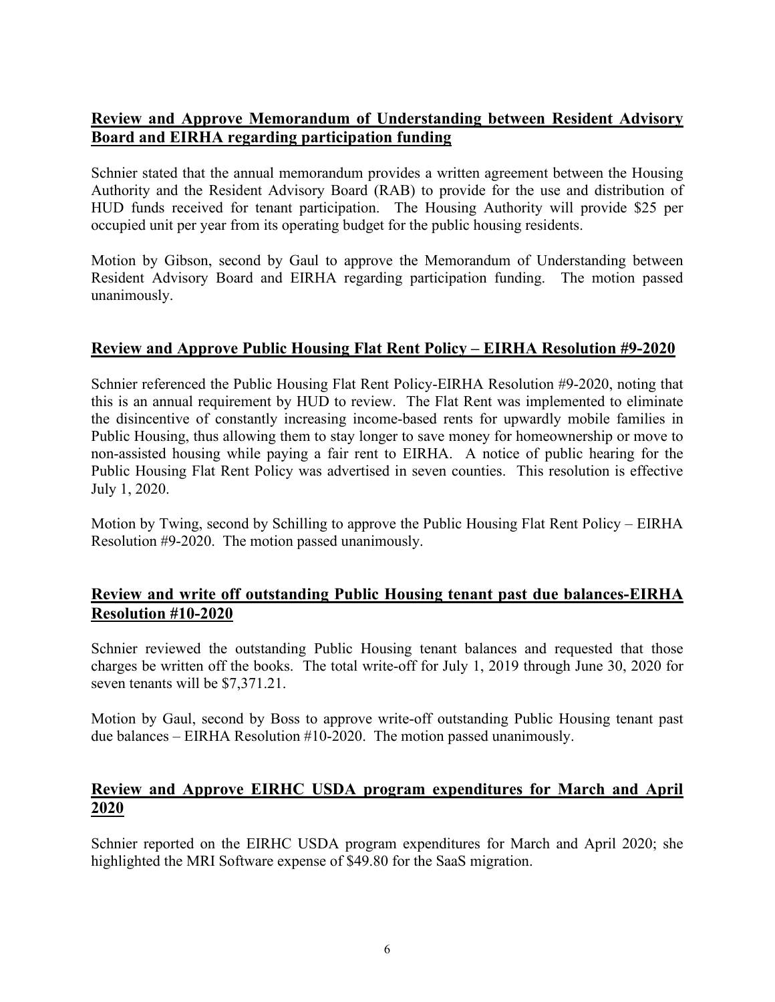# **Review and Approve Memorandum of Understanding between Resident Advisory Board and EIRHA regarding participation funding**

Schnier stated that the annual memorandum provides a written agreement between the Housing Authority and the Resident Advisory Board (RAB) to provide for the use and distribution of HUD funds received for tenant participation. The Housing Authority will provide \$25 per occupied unit per year from its operating budget for the public housing residents.

Motion by Gibson, second by Gaul to approve the Memorandum of Understanding between Resident Advisory Board and EIRHA regarding participation funding. The motion passed unanimously.

### **Review and Approve Public Housing Flat Rent Policy – EIRHA Resolution #9-2020**

Schnier referenced the Public Housing Flat Rent Policy-EIRHA Resolution #9-2020, noting that this is an annual requirement by HUD to review. The Flat Rent was implemented to eliminate the disincentive of constantly increasing income-based rents for upwardly mobile families in Public Housing, thus allowing them to stay longer to save money for homeownership or move to non-assisted housing while paying a fair rent to EIRHA. A notice of public hearing for the Public Housing Flat Rent Policy was advertised in seven counties. This resolution is effective July 1, 2020.

Motion by Twing, second by Schilling to approve the Public Housing Flat Rent Policy – EIRHA Resolution #9-2020. The motion passed unanimously.

# **Review and write off outstanding Public Housing tenant past due balances-EIRHA Resolution #10-2020**

Schnier reviewed the outstanding Public Housing tenant balances and requested that those charges be written off the books. The total write-off for July 1, 2019 through June 30, 2020 for seven tenants will be \$7,371.21.

Motion by Gaul, second by Boss to approve write-off outstanding Public Housing tenant past due balances – EIRHA Resolution #10-2020. The motion passed unanimously.

# **Review and Approve EIRHC USDA program expenditures for March and April 2020**

Schnier reported on the EIRHC USDA program expenditures for March and April 2020; she highlighted the MRI Software expense of \$49.80 for the SaaS migration.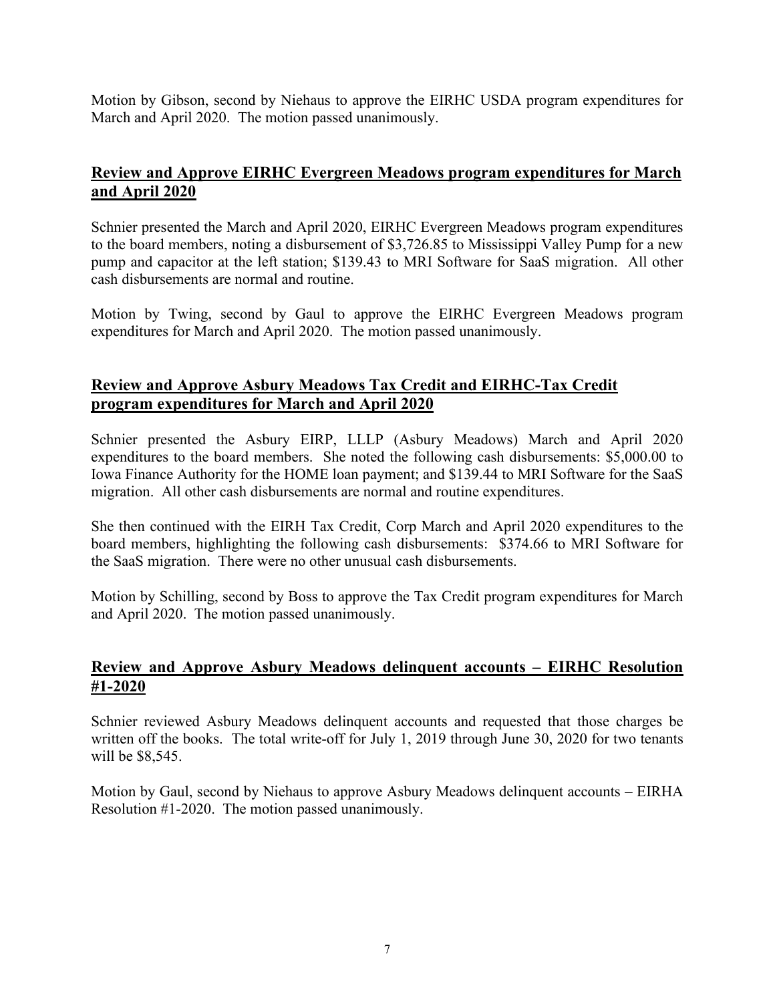Motion by Gibson, second by Niehaus to approve the EIRHC USDA program expenditures for March and April 2020. The motion passed unanimously.

# **Review and Approve EIRHC Evergreen Meadows program expenditures for March and April 2020**

Schnier presented the March and April 2020, EIRHC Evergreen Meadows program expenditures to the board members, noting a disbursement of \$3,726.85 to Mississippi Valley Pump for a new pump and capacitor at the left station; \$139.43 to MRI Software for SaaS migration. All other cash disbursements are normal and routine.

Motion by Twing, second by Gaul to approve the EIRHC Evergreen Meadows program expenditures for March and April 2020. The motion passed unanimously.

# **Review and Approve Asbury Meadows Tax Credit and EIRHC-Tax Credit program expenditures for March and April 2020**

Schnier presented the Asbury EIRP, LLLP (Asbury Meadows) March and April 2020 expenditures to the board members. She noted the following cash disbursements: \$5,000.00 to Iowa Finance Authority for the HOME loan payment; and \$139.44 to MRI Software for the SaaS migration. All other cash disbursements are normal and routine expenditures.

She then continued with the EIRH Tax Credit, Corp March and April 2020 expenditures to the board members, highlighting the following cash disbursements: \$374.66 to MRI Software for the SaaS migration. There were no other unusual cash disbursements.

Motion by Schilling, second by Boss to approve the Tax Credit program expenditures for March and April 2020. The motion passed unanimously.

### **Review and Approve Asbury Meadows delinquent accounts – EIRHC Resolution #1-2020**

Schnier reviewed Asbury Meadows delinquent accounts and requested that those charges be written off the books. The total write-off for July 1, 2019 through June 30, 2020 for two tenants will be \$8,545.

Motion by Gaul, second by Niehaus to approve Asbury Meadows delinquent accounts – EIRHA Resolution #1-2020. The motion passed unanimously.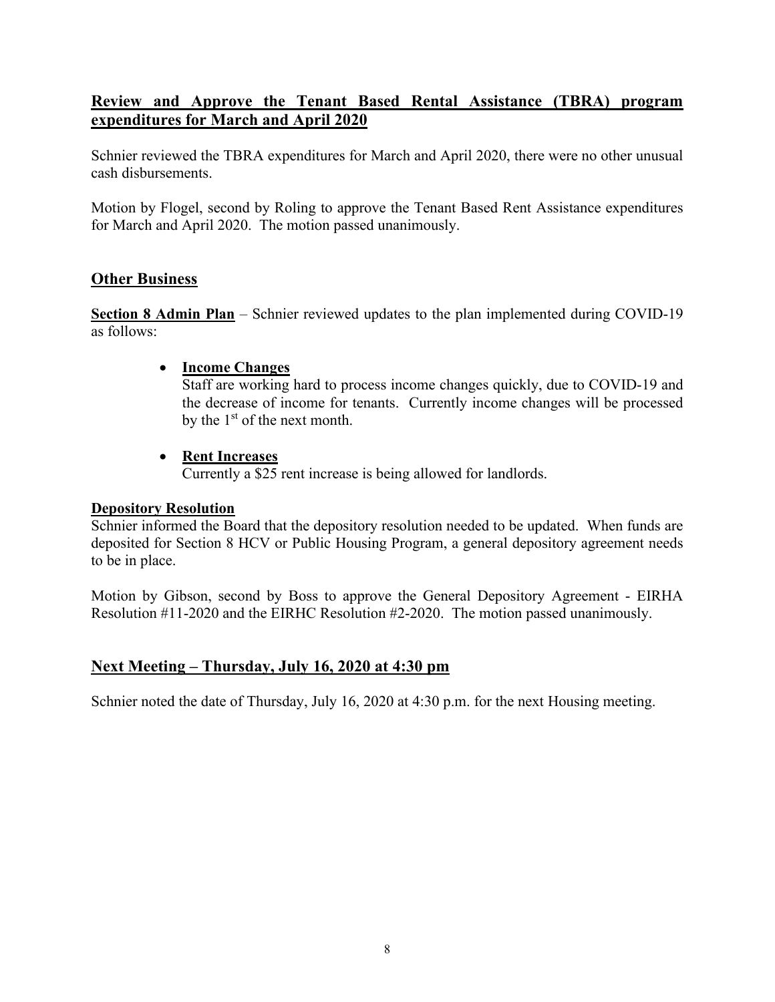# **Review and Approve the Tenant Based Rental Assistance (TBRA) program expenditures for March and April 2020**

Schnier reviewed the TBRA expenditures for March and April 2020, there were no other unusual cash disbursements.

Motion by Flogel, second by Roling to approve the Tenant Based Rent Assistance expenditures for March and April 2020. The motion passed unanimously.

# **Other Business**

**Section 8 Admin Plan** – Schnier reviewed updates to the plan implemented during COVID-19 as follows:

### • **Income Changes**

Staff are working hard to process income changes quickly, due to COVID-19 and the decrease of income for tenants. Currently income changes will be processed by the 1st of the next month.

### • **Rent Increases**

Currently a \$25 rent increase is being allowed for landlords.

### **Depository Resolution**

Schnier informed the Board that the depository resolution needed to be updated. When funds are deposited for Section 8 HCV or Public Housing Program, a general depository agreement needs to be in place.

Motion by Gibson, second by Boss to approve the General Depository Agreement - EIRHA Resolution #11-2020 and the EIRHC Resolution #2-2020. The motion passed unanimously.

# **Next Meeting – Thursday, July 16, 2020 at 4:30 pm**

Schnier noted the date of Thursday, July 16, 2020 at 4:30 p.m. for the next Housing meeting.